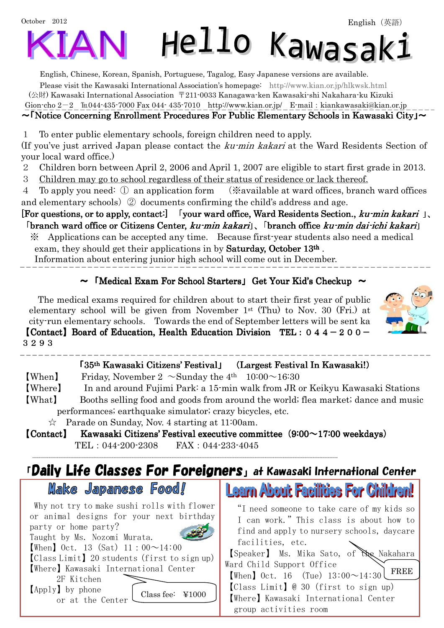English, Chinese, Korean, Spanish, Portuguese, Tagalog, Easy Japanese versions are available.

Please visit the Kawasaki International Association's homepage: http://www.kian.or.jp/hlkwsk.html (公財) Kawasaki International Association 〒211-0033 Kanagawa-ken Kawasaki-shi Nakahara-ku Kizuki Gion-cho 2-2 ℡044-435-7000 Fax 044- 435-7010 http://www.kian.or.jp/ E-mail:kiankawasaki@kian.or.jp

#### $\sim$  Notice Concerning Enrollment Procedures For Public Elementary Schools in Kawasaki City  $\sim$

1 To enter public elementary schools, foreign children need to apply.

(If you've just arrived Japan please contact the ku-min kakari at the Ward Residents Section of your local ward office.)

- 2 Children born between April 2, 2006 and April 1, 2007 are eligible to start first grade in 2013.
- 3 Children may go to school regardless of their status of residence or lack thereof.

4 To apply you need: ① an application form (※available at ward offices, branch ward offices and elementary schools) ② documents confirming the child's address and age.

[For questions, or to apply, contact:] [your ward office, Ward Residents Section., kumin kakari], 「branch ward office or Citizens Center, ku-min kakari」、「branch office ku-min dai-ichi kakari」

※ Applications can be accepted any time. Because first-year students also need a medical exam, they should get their applications in by **Saturday, October 13th**.

Information about entering junior high school will come out in December.

### $\sim$  [Medical Exam For School Starters] Get Your Kid's Checkup  $\sim$

The medical exams required for children about to start their first year of public elementary school will be given from November 1st (Thu) to Nov. 30 (Fri.) at city-run elementary schools. Towards the end of September letters will be sent ka **[Contact]** Board of Education, Health Education Division TEL:  $044 - 200 -$ 3293



| [35 <sup>th</sup> Kawasaki Citizens' Festival J (Largest Festival In Kawasaki!) |  |
|---------------------------------------------------------------------------------|--|

| [When] | Friday, November 2 $\sim$ Sunday the 4 <sup>th</sup> 10:00 $\sim$ 16:30 |  |
|--------|-------------------------------------------------------------------------|--|

【Where】 In and around Fujimi Park: a 15-min walk from JR or Keikyu Kawasaki Stations 【What】 Booths selling food and goods from around the world; flea market; dance and music performances; earthquake simulator; crazy bicycles, etc.

☆ Parade on Sunday, Nov. 4 starting at 11:00am.

 $\text{[Context]}$  Kawasaki Citizens' Festival executive committee (9:00~17:00 weekdays) TEL:044-200-2308 FAX:044-233-4045

## 「Daily Life Classes For Foreigners」at Kawasaki International Center



 Why not try to make sushi rolls with flower or animal designs for your next birthday party or home party?  $[When]$  Oct. 13 (Sat) 11:00~14:00 Taught by Ms. Nozomi Murata. 【Class Limit】20 students (first to sign up) 【Where】Kawasaki International Center 2F Kitchen

【Apply】by phone or at the Center

Class fee: ¥1000

**Learn About Facilities For Children!** "I need someone to take care of my kids so I can work."This class is about how to

find and apply to nursery schools, daycare facilities, etc.

【Speaker】 Ms. Mika Sato, of the Nakahara Ward Child Support Office **[When]** Oct. 16 (Tue)  $13:00 \sim 14:30$ 【Class Limit】@ 30(first to sign up) 【Where】Kawasaki International Center group activities room FREE